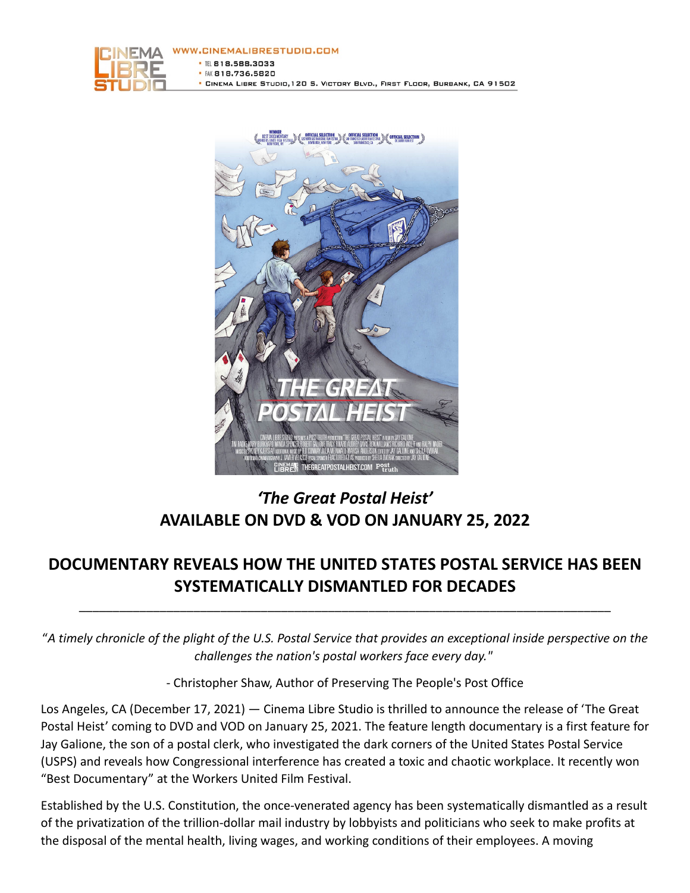



# *'The Great Postal Heist'* **AVAILABLE ON DVD & VOD ON JANUARY 25, 2022**

## **DOCUMENTARY REVEALS HOW THE UNITED STATES POSTAL SERVICE HAS BEEN SYSTEMATICALLY DISMANTLED FOR DECADES**

\_\_\_\_\_\_\_\_\_\_\_\_\_\_\_\_\_\_\_\_\_\_\_\_\_\_\_\_\_\_\_\_\_\_\_\_\_\_\_\_\_\_\_\_\_\_\_\_\_\_\_\_\_\_\_\_\_\_\_\_\_\_\_\_\_\_\_\_\_\_\_\_\_\_\_\_\_\_\_

"*A timely chronicle of the plight of the U.S. Postal Service that provides an exceptional inside perspective on the challenges the nation's postal workers face every day."*

- Christopher Shaw, Author of Preserving The People's Post Office

Los Angeles, CA (December 17, 2021) — Cinema Libre Studio is thrilled to announce the release of 'The Great Postal Heist' coming to DVD and VOD on January 25, 2021. The feature length documentary is a first feature for Jay Galione, the son of a postal clerk, who investigated the dark corners of the United States Postal Service (USPS) and reveals how Congressional interference has created a toxic and chaotic workplace. It recently won "Best Documentary" at the Workers United Film Festival.

Established by the U.S. Constitution, the once-venerated agency has been systematically dismantled as a result of the privatization of the trillion-dollar mail industry by lobbyists and politicians who seek to make profits at the disposal of the mental health, living wages, and working conditions of their employees. A moving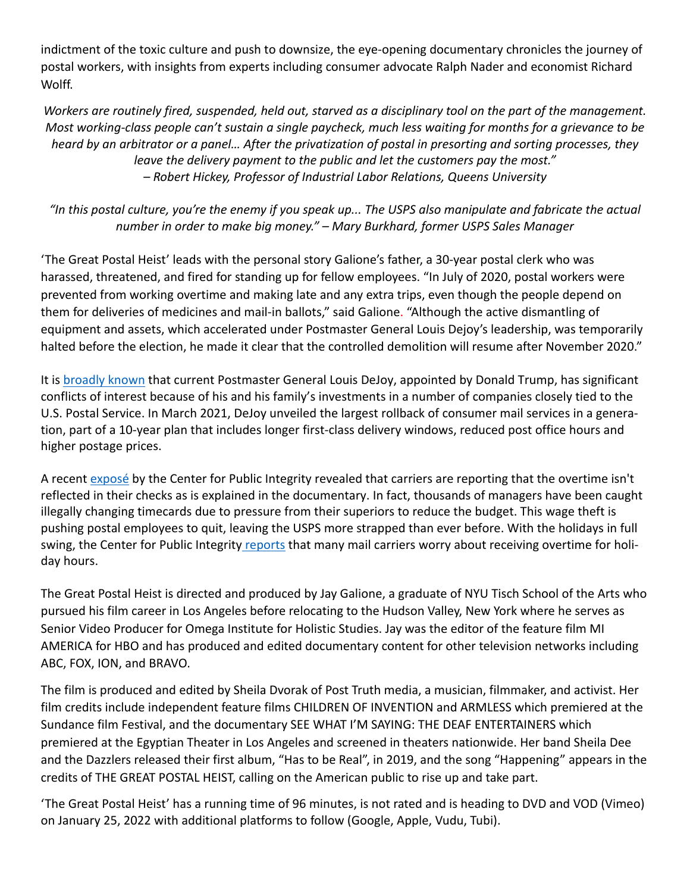indictment of the toxic culture and push to downsize, the eye-opening documentary chronicles the journey of postal workers, with insights from experts including consumer advocate Ralph Nader and economist Richard Wolff.

*Workers are routinely fired, suspended, held out, starved as a disciplinary tool on the part of the management. Most working-class people can't sustain a single paycheck, much less waiting for months for a grievance to be heard by an arbitrator or a panel… After the privatization of postal in presorting and sorting processes, they leave the delivery payment to the public and let the customers pay the most." – Robert Hickey, Professor of Industrial Labor Relations, Queens University*

### *"In this postal culture, you're the enemy if you speak up... The USPS also manipulate and fabricate the actual number in order to make big money." – Mary Burkhard, former USPS Sales Manager*

'The Great Postal Heist' leads with the personal story Galione's father, a 30-year postal clerk who was harassed, threatened, and fired for standing up for fellow employees. "In July of 2020, postal workers were prevented from working overtime and making late and any extra trips, even though the people depend on them for deliveries of medicines and mail-in ballots," said Galione. "Although the active dismantling of equipment and assets, which accelerated under Postmaster General Louis Dejoy's leadership, was temporarily halted before the election, he made it clear that the controlled demolition will resume after November 2020."

It is broadly known that current Postmaster General Louis DeJoy, appointed by Donald Trump, has significant conflicts of interest because of his and his family's investments in a number of companies closely tied to the U.S. Postal Service. In March 2021, DeJoy unveiled the largest rollback of consumer mail services in a generation, part of a 10-year plan that includes longer first-class delivery windows, reduced post office hours and higher postage prices.

A recent exposé by the Center for Public Integrity revealed that carriers are reporting that the overtime isn't reflected in their checks as is explained in the documentary. In fact, thousands of managers have been caught illegally changing timecards due to pressure from their superiors to reduce the budget. This wage theft is pushing postal employees to quit, leaving the USPS more strapped than ever before. With the holidays in full swing, the Center for Public Integrity reports that many mail carriers worry about receiving overtime for holiday hours.

The Great Postal Heist is directed and produced by Jay Galione, a graduate of NYU Tisch School of the Arts who pursued his film career in Los Angeles before relocating to the Hudson Valley, New York where he serves as Senior Video Producer for Omega Institute for Holistic Studies. Jay was the editor of the feature film MI AMERICA for HBO and has produced and edited documentary content for other television networks including ABC, FOX, ION, and BRAVO.

The film is produced and edited by Sheila Dvorak of Post Truth media, a musician, filmmaker, and activist. Her film credits include independent feature films CHILDREN OF INVENTION and ARMLESS which premiered at the Sundance film Festival, and the documentary SEE WHAT I'M SAYING: THE DEAF ENTERTAINERS which premiered at the Egyptian Theater in Los Angeles and screened in theaters nationwide. Her band Sheila Dee and the Dazzlers released their first album, "Has to be Real", in 2019, and the song "Happening" appears in the credits of THE GREAT POSTAL HEIST, calling on the American public to rise up and take part.

'The Great Postal Heist' has a running time of 96 minutes, is not rated and is heading to DVD and VOD (Vimeo) on January 25, 2022 with additional platforms to follow (Google, Apple, Vudu, Tubi).